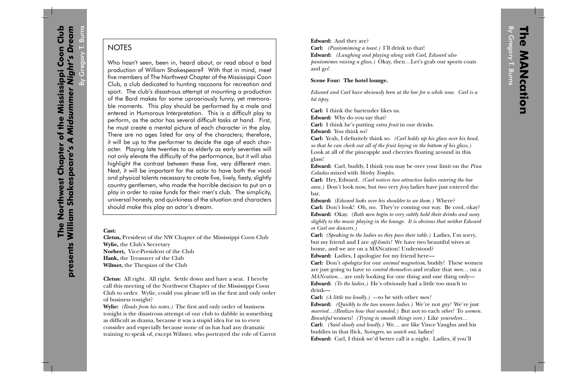By Gregory T. Burns NOTES<br>Who hasn't seen, been in, heard about, or read about a bad<br>production of William Shakespeare? With that in mind, meet<br>five members of The Northwest Chapter of the Mississippi Coon<br>Club a club dedi five members of The Northwest Chapter of the Mississippi Coon Club, a club dedicated to hunting raccoons for recreation and sport. The club's disastrous attempt at mounting a production of the Bard makes for some uproariously funny, yet memorable moments. This play should be performed by a male and entered in Humorous Interpretation. This is a difficult play to perform, as the actor has several difficult tasks at hand. First, he must create a mental picture of each character in the play. There are no ages listed for any of the characters; therefore, it will be up to the performer to decide the age of each character. Playing late twenties to as elderly as early seventies will not only elevate the difficulty of the performance, but it will also highlight the contrast between these five, very different men. Next, it will be important for the actor to have both the vocal and physical talents necessary to create five, lively, fiesty, slightly country gentlemen, who made the horrible decision to put on a <sup>p</sup>lay in order to raise funds for their men's club. The simplicity, universal honesty, and quirkiness of the situation and characters should make this play an actor's dream.

## **Cast:**

**Cletus,** President of the NW Chapter of the Mississippi Coon Club **Wylie,** the Club's Secretary **Norbert,** Vice-President of the Club **Hank,** the Treasurer of the Club **Wilmer,** the Thespian of the Club

**Cletus:** All right. All right. Settle down and have a seat. I hereby call this meeting of the Northwest Chapter of the Mississippi Coon Club to order. Wylie, could you please tell us the first and only order of business tonight?

**Wylie:** *(Reads from his notes.)* The first and only order of business tonight is the disastrous attempt of our club to dabble in something as difficult as drama, because it was a stupid idea for us to even consider and especially because none of us has had any dramatic training to speak of, except Wilmer, who portrayed the role of Carrot